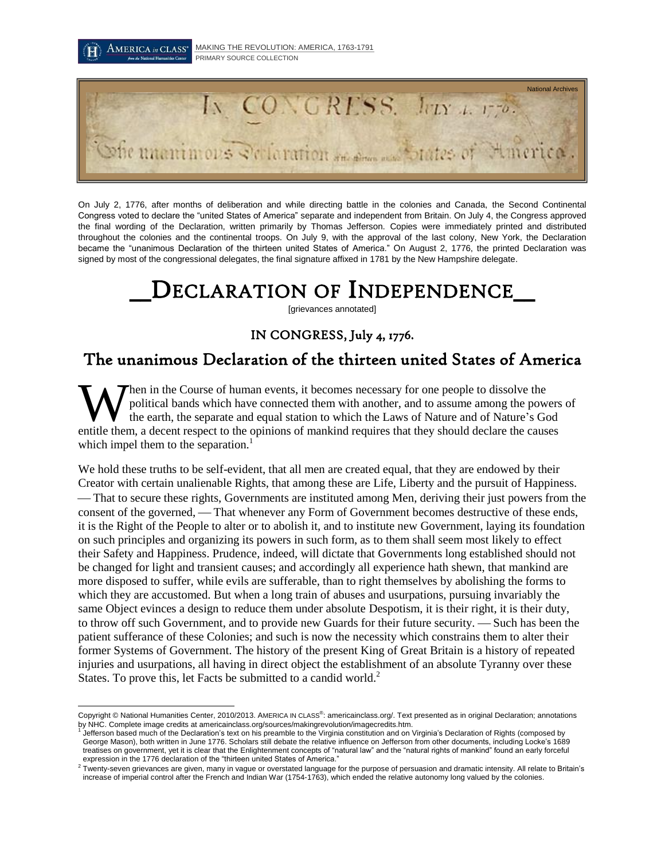

On July 2, 1776, after months of deliberation and while directing battle in the colonies and Canada, the Second Continental Congress voted to declare the "united States of America" separate and independent from Britain. On July 4, the Congress approved the final wording of the Declaration, written primarily by Thomas Jefferson. Copies were immediately printed and distributed throughout the colonies and the continental troops. On July 9, with the approval of the last colony, New York, the Declaration became the "unanimous Declaration of the thirteen united States of America." On August 2, 1776, the printed Declaration was signed by most of the congressional delegates, the final signature affixed in 1781 by the New Hampshire delegate.

# DECLARATION OF INDEPENDENCE

[grievances annotated]

### IN CONGRESS, July 4, 1776.

## The unanimous Declaration of the thirteen united States of America

hen in the Course of human events, it becomes necessary for one people to dissolve the political bands which have connected them with another, and to assume among the powers of the earth, the separate and equal station to which the Laws of Nature and of Nature's God When in the Course of human events, it becomes necessary for one people to dissolve the political bands which have connected them with another, and to assume among the powers the earth, the separate and equal station to wh which impel them to the separation.<sup>1</sup>

We hold these truths to be self-evident, that all men are created equal, that they are endowed by their Creator with certain unalienable Rights, that among these are Life, Liberty and the pursuit of Happiness. That to secure these rights, Governments are instituted among Men, deriving their just powers from the consent of the governed, — That whenever any Form of Government becomes destructive of these ends, it is the Right of the People to alter or to abolish it, and to institute new Government, laying its foundation on such principles and organizing its powers in such form, as to them shall seem most likely to effect their Safety and Happiness. Prudence, indeed, will dictate that Governments long established should not be changed for light and transient causes; and accordingly all experience hath shewn, that mankind are more disposed to suffer, while evils are sufferable, than to right themselves by abolishing the forms to which they are accustomed. But when a long train of abuses and usurpations, pursuing invariably the same Object evinces a design to reduce them under absolute Despotism, it is their right, it is their duty, to throw off such Government, and to provide new Guards for their future security. — Such has been the patient sufferance of these Colonies; and such is now the necessity which constrains them to alter their former Systems of Government. The history of the present King of Great Britain is a history of repeated injuries and usurpations, all having in direct object the establishment of an absolute Tyranny over these States. To prove this, let Facts be submitted to a candid world.<sup>2</sup>

 $\overline{a}$ Copyright © National Humanities Center, 2010/2013. AMERICA IN CLASS<sup>®</sup>: americainclass.org/. Text presented as in original Declaration; annotations by NHC. Complete image credits at americainclass.org/sources/makingrevolution/imagecredits.htm.<br><sup>1</sup> letforces hased much of the Declaration's tout an his presmble to the Virginia constitution and an l

Jefferson based much of the Declaration's text on his preamble to the Virginia constitution and on Virginia's Declaration of Rights (composed by George Mason), both written in June 1776. Scholars still debate the relative influence on Jefferson from other documents, including Locke's 1689 treatises on government, yet it is clear that the Enlightenment concepts of "natural law" and the "natural rights of mankind" found an early forceful expression in the 1776 declaration of the "thirteen united States of America."

 $^2$  Twenty-seven grievances are given, many in vague or overstated language for the purpose of persuasion and dramatic intensity. All relate to Britain's increase of imperial control after the French and Indian War (1754-1763), which ended the relative autonomy long valued by the colonies.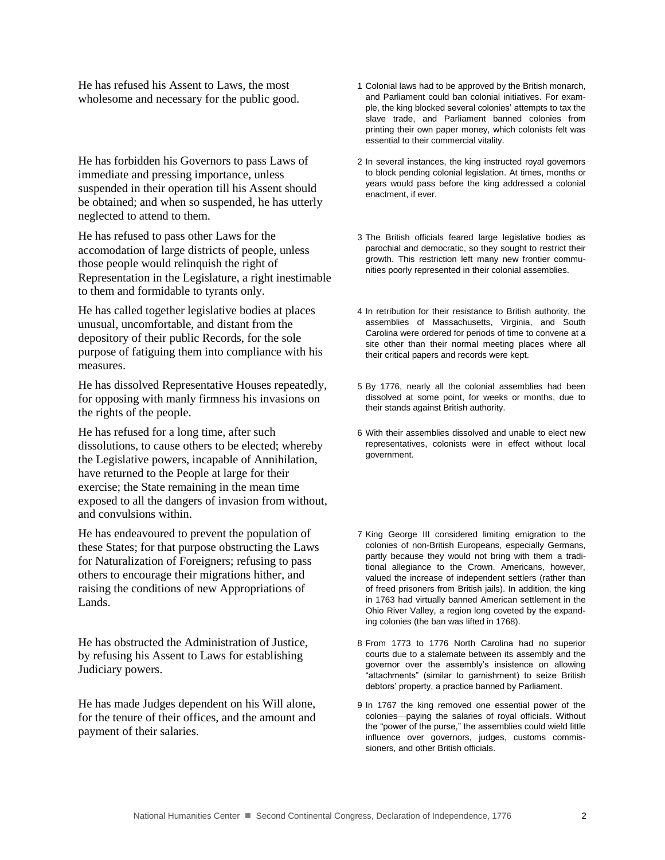He has refused his Assent to Laws, the most wholesome and necessary for the public good.

He has forbidden his Governors to pass Laws of immediate and pressing importance, unless suspended in their operation till his Assent should be obtained; and when so suspended, he has utterly neglected to attend to them.

He has refused to pass other Laws for the accomodation of large districts of people, unless those people would relinquish the right of Representation in the Legislature, a right inestimable to them and formidable to tyrants only.

He has called together legislative bodies at places unusual, uncomfortable, and distant from the depository of their public Records, for the sole purpose of fatiguing them into compliance with his measures.

He has dissolved Representative Houses repeatedly, for opposing with manly firmness his invasions on the rights of the people.

He has refused for a long time, after such dissolutions, to cause others to be elected; whereby the Legislative powers, incapable of Annihilation, have returned to the People at large for their exercise; the State remaining in the mean time exposed to all the dangers of invasion from without, and convulsions within.

He has endeavoured to prevent the population of these States; for that purpose obstructing the Laws for Naturalization of Foreigners; refusing to pass others to encourage their migrations hither, and raising the conditions of new Appropriations of Lands.

He has obstructed the Administration of Justice, by refusing his Assent to Laws for establishing Judiciary powers.

He has made Judges dependent on his Will alone, for the tenure of their offices, and the amount and payment of their salaries.

- 1 Colonial laws had to be approved by the British monarch, and Parliament could ban colonial initiatives. For example, the king blocked several colonies' attempts to tax the slave trade, and Parliament banned colonies from printing their own paper money, which colonists felt was essential to their commercial vitality.
- 2 In several instances, the king instructed royal governors to block pending colonial legislation. At times, months or years would pass before the king addressed a colonial enactment, if ever.
- 3 The British officials feared large legislative bodies as parochial and democratic, so they sought to restrict their growth. This restriction left many new frontier communities poorly represented in their colonial assemblies.
- 4 In retribution for their resistance to British authority, the assemblies of Massachusetts, Virginia, and South Carolina were ordered for periods of time to convene at a site other than their normal meeting places where all their critical papers and records were kept.
- 5 By 1776, nearly all the colonial assemblies had been dissolved at some point, for weeks or months, due to their stands against British authority.
- 6 With their assemblies dissolved and unable to elect new representatives, colonists were in effect without local government.
- 7 King George III considered limiting emigration to the colonies of non-British Europeans, especially Germans, partly because they would not bring with them a traditional allegiance to the Crown. Americans, however, valued the increase of independent settlers (rather than of freed prisoners from British jails). In addition, the king in 1763 had virtually banned American settlement in the Ohio River Valley, a region long coveted by the expanding colonies (the ban was lifted in 1768).
- 8 From 1773 to 1776 North Carolina had no superior courts due to a stalemate between its assembly and the governor over the assembly's insistence on allowing "attachments" (similar to garnishment) to seize British debtors' property, a practice banned by Parliament.
- 9 In 1767 the king removed one essential power of the colonies—paying the salaries of royal officials. Without the "power of the purse," the assemblies could wield little influence over governors, judges, customs commissioners, and other British officials.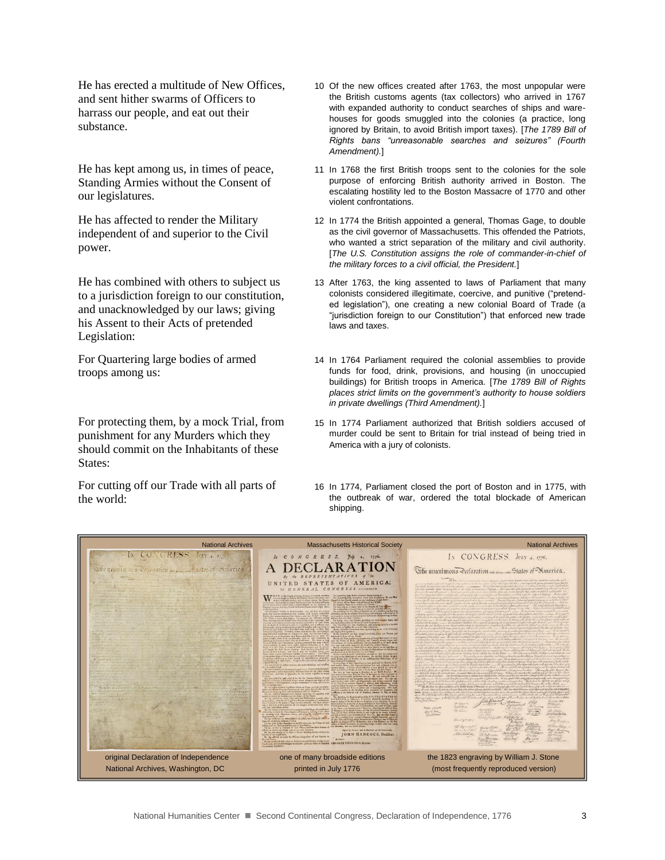He has erected a multitude of New Offices, and sent hither swarms of Officers to harrass our people, and eat out their substance.

He has kept among us, in times of peace, Standing Armies without the Consent of our legislatures.

He has affected to render the Military independent of and superior to the Civil power.

He has combined with others to subject us to a jurisdiction foreign to our constitution, and unacknowledged by our laws; giving his Assent to their Acts of pretended Legislation:

For Quartering large bodies of armed troops among us:

For protecting them, by a mock Trial, from punishment for any Murders which they should commit on the Inhabitants of these States:

For cutting off our Trade with all parts of the world:

- 10 Of the new offices created after 1763, the most unpopular were the British customs agents (tax collectors) who arrived in 1767 with expanded authority to conduct searches of ships and warehouses for goods smuggled into the colonies (a practice, long ignored by Britain, to avoid British import taxes). [*The 1789 Bill of Rights bans "unreasonable searches and seizures" (Fourth Amendment).*]
- 11 In 1768 the first British troops sent to the colonies for the sole purpose of enforcing British authority arrived in Boston. The escalating hostility led to the Boston Massacre of 1770 and other violent confrontations.
- 12 In 1774 the British appointed a general, Thomas Gage, to double as the civil governor of Massachusetts. This offended the Patriots, who wanted a strict separation of the military and civil authority. [*The U.S. Constitution assigns the role of commander-in-chief of the military forces to a civil official, the President.*]
- 13 After 1763, the king assented to laws of Parliament that many colonists considered illegitimate, coercive, and punitive ("pretended legislation"), one creating a new colonial Board of Trade (a "jurisdiction foreign to our Constitution") that enforced new trade laws and taxes.
- 14 In 1764 Parliament required the colonial assemblies to provide funds for food, drink, provisions, and housing (in unoccupied buildings) for British troops in America. [*The 1789 Bill of Rights places strict limits on the government's authority to house soldiers in private dwellings (Third Amendment).*]
- 15 In 1774 Parliament authorized that British soldiers accused of murder could be sent to Britain for trial instead of being tried in America with a jury of colonists.
- 16 In 1774, Parliament closed the port of Boston and in 1775, with the outbreak of war, ordered the total blockade of American shipping.

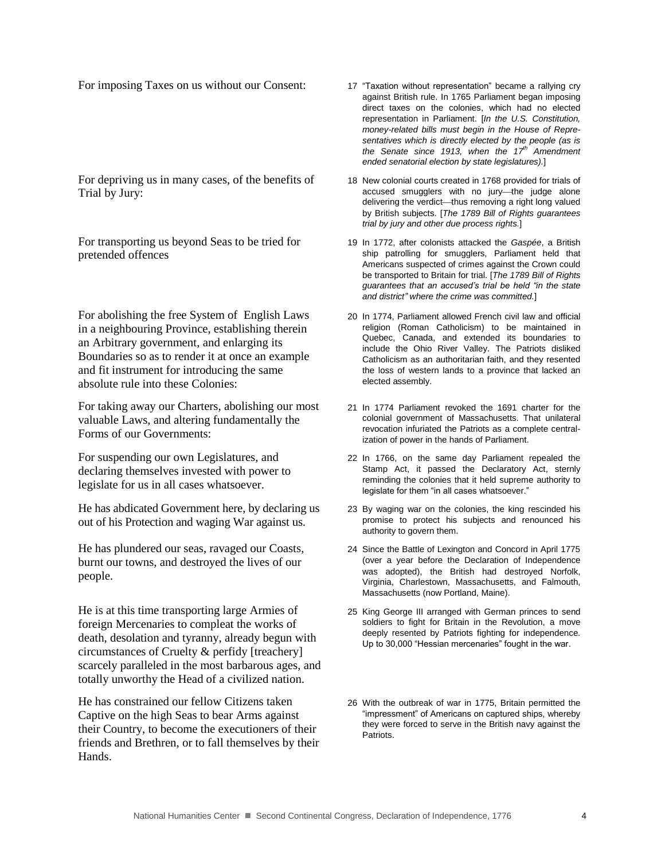For imposing Taxes on us without our Consent: 17 "Taxation without representation" became a rallying cry

For depriving us in many cases, of the benefits of Trial by Jury:

For transporting us beyond Seas to be tried for pretended offences

For abolishing the free System of English Laws in a neighbouring Province, establishing therein an Arbitrary government, and enlarging its Boundaries so as to render it at once an example and fit instrument for introducing the same absolute rule into these Colonies:

For taking away our Charters, abolishing our most valuable Laws, and altering fundamentally the Forms of our Governments:

For suspending our own Legislatures, and declaring themselves invested with power to legislate for us in all cases whatsoever.

He has abdicated Government here, by declaring us out of his Protection and waging War against us.

He has plundered our seas, ravaged our Coasts, burnt our towns, and destroyed the lives of our people.

He is at this time transporting large Armies of foreign Mercenaries to compleat the works of death, desolation and tyranny, already begun with circumstances of Cruelty & perfidy [treachery] scarcely paralleled in the most barbarous ages, and totally unworthy the Head of a civilized nation.

He has constrained our fellow Citizens taken Captive on the high Seas to bear Arms against their Country, to become the executioners of their friends and Brethren, or to fall themselves by their Hands.

- against British rule. In 1765 Parliament began imposing direct taxes on the colonies, which had no elected representation in Parliament. [*In the U.S. Constitution, money-related bills must begin in the House of Representatives which is directly elected by the people (as is the Senate since 1913, when the 17th Amendment ended senatorial election by state legislatures).*]
- 18 New colonial courts created in 1768 provided for trials of accused smugglers with no jury-the judge alone delivering the verdict-thus removing a right long valued by British subjects. [*The 1789 Bill of Rights guarantees trial by jury and other due process rights.*]
- 19 In 1772, after colonists attacked the *Gaspée*, a British ship patrolling for smugglers, Parliament held that Americans suspected of crimes against the Crown could be transported to Britain for trial. [*The 1789 Bill of Rights guarantees that an accused's trial be held "in the state and district" where the crime was committed.*]
- 20 In 1774, Parliament allowed French civil law and official religion (Roman Catholicism) to be maintained in Quebec, Canada, and extended its boundaries to include the Ohio River Valley. The Patriots disliked Catholicism as an authoritarian faith, and they resented the loss of western lands to a province that lacked an elected assembly.
- 21 In 1774 Parliament revoked the 1691 charter for the colonial government of Massachusetts. That unilateral revocation infuriated the Patriots as a complete centralization of power in the hands of Parliament.
- 22 In 1766, on the same day Parliament repealed the Stamp Act, it passed the Declaratory Act, sternly reminding the colonies that it held supreme authority to legislate for them "in all cases whatsoever."
- 23 By waging war on the colonies, the king rescinded his promise to protect his subjects and renounced his authority to govern them.
- 24 Since the Battle of Lexington and Concord in April 1775 (over a year before the Declaration of Independence was adopted), the British had destroyed Norfolk, Virginia, Charlestown, Massachusetts, and Falmouth, Massachusetts (now Portland, Maine).
- 25 King George III arranged with German princes to send soldiers to fight for Britain in the Revolution, a move deeply resented by Patriots fighting for independence. Up to 30,000 "Hessian mercenaries" fought in the war.
- 26 With the outbreak of war in 1775, Britain permitted the "impressment" of Americans on captured ships, whereby they were forced to serve in the British navy against the Patriots.